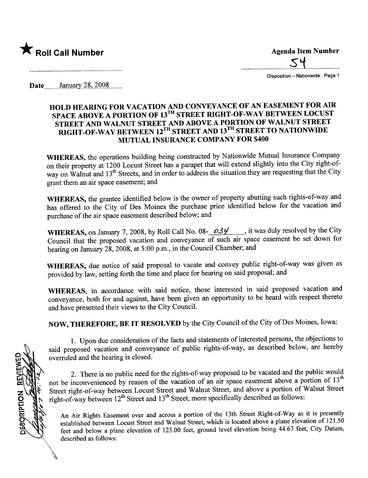

..\_\_..\_---\_....\_----\_...\_\_..s.~.\_\_..\_---\_.....\_\_...

Disposition - Nationwide: Page 1

Date  $\frac{\text{January } 28, 2008 \dots}{\text{January } 28, 2008 \dots}$ 

# HOLD HEARING FOR VACATION AND CONVEYANCE OF AN EASEMENT FOR AIR SPACE ABOVE A PORTION OF 13<sup>TH</sup> STREET RIGHT-OF-WAY BETWEEN LOCUST STREET AND WALNUT STREET AND ABOVE A PORTION OF WALNUT STREET RIGHT-OF-WAY BETWEEN 12<sup>TH</sup> STREET AND 13<sup>TH</sup> STREET TO NATIONWIDE MUTUAL INSURANCE COMPANY FOR \$400

WHEREAS, the operations building being constructed by Nationwide Mutual Insurance Company on their property at 1200 Locust Street has a parapet that will extend slightly into the City right-ofway on Walnut and 13<sup>th</sup> Streets, and in order to address the situation they are requesting that the City grant them an air space easement; and

WHEREAS, the grantee identified below is the owner of property abutting such rights-of-way and has offered to the City of Des Moines the purchase price identified below for the vacation and purchase of the air space easement described below; and

WHEREAS, on January 7, 2008, by Roll Call No. 08-  $0.34$  , it was duly resolved by the City Council that the proposed vacation and conveyance of such air space easement be set down for hearing on January 28, 2008, at 5:00 p.m., in the Council Chamber; and

WHEREAS, due notice of said proposal to vacate and convey public right-of-way was given as provided by law, setting forth the time and place for hearing on said proposal; and

WHEREAS, in accordance with said notice, those interested in said proposed vacation and conveyance, both for and against, have been given an opportunity to be heard with respect thereto and have presented their views to the City CounciL.

NOW, THEREFORE, BE IT RESOLVED by the City Council of the City of Des Moines, Iowa:

1. Upon due consideration of the facts and statements of interested persons, the objections to said proposed vacation and conveyance of public rights-of-way, as described below, are hereby overruled and the hearing is closed.

2. There is no public need for the rights-of-way proposed to be vacated and the public would not be inconvenienced by reason of the vacation of an air space easement above a portion of 13<sup>th</sup> Street right-of-way between Locust Street and Walnut Street, and above a portion of Walnut Street  $t$  right-of-way between  $12^{th}$  Street and  $13^{th}$  Street, more specifically described as follows:

An Air Rights Easement over and across a portion of the 13th Street Right-of-Way as it is presently established between Locust Street and Walnut Street, which is located above a plane elevation of 121.50 feet and below a plane elevation of 123.00 feet, ground level elevation being 44.67 feet, City Datum, described as follows:

DESORIPTION REVEW **\$\$\$0**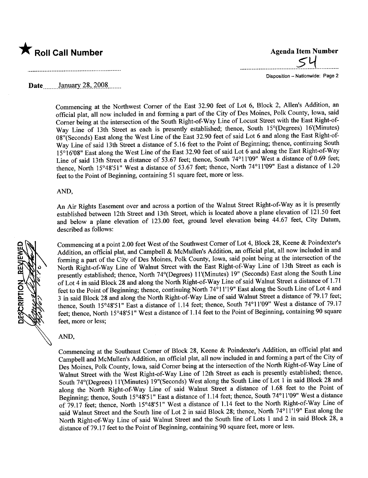

.................................s.y.............

Disposition - Nationwide: Page 2

### Date  $\frac{\text{January } 28, 2008 \dots}{\text{January } 28, 2008 \dots}$

Commencing at the Northwest Comer of the East 32.90 feet of Lot 6, Block 2, Allen's Addition, an official plat, all now included in and forming a part of the City of Des Moines, Polk County, Iowa, said Comer being at the intersection of the South Right-of-Way Line of Locust Street with the East Right-of-Way Line of 13th Street as each is presently established; thence, South 15°(Degrees) 16'(Minutes) 08"(Seconds) East along the West Line of the East 32.90 feet of said Lot 6 and along the East Right-of-Way Line of said 13th Street a distance of 5.16 feet to the Point of Beginning; thence, continuing South 15°16'08" East along the West Line of the East 32.90 feet of said Lot 6 and along the East Right-of-Way Line of said 13th Street a distance of 53.67 feet; thence, South 74°11'09" West a distance of 0.69 feet; thence, North 15°48'51" West a distance of 53.67 feet; thence, North 74°11'09" East a distance of 1.20 feet to the Point of Beginning, containing 51 square feet, more or less.

#### AND,

An Air Rights Easement over and across a portion of the Walnut Street Right-of- Way as it is presently established between 12th Street and 13th Street, which is located above a plane elevation of 121.50 feet and below a plane elevation of 123.00 feet, ground level elevation being 44.67 feet, City Datum, described as follows:

Commencing at a point 2.00 feet West of the Southwest Comer of Lot 4, Block 28, Keene & Poindexter's Addition, an official plat, and Campbell & McMullen's Addition, an official plat, all now included in and forming a part of the City of Des Moines, Polk County, Iowa, said point being at the intersection of the North Right-of-Way Line of Walnut Street with the East Right-of-Way Line of 13th Street as each is presently established; thence, North 74°(Degrees) 11'(Minutes) 19" (Seconds) East along the South Line of Lot 4 in said Block 28 and along the North Right-of-Way Line of said Walnut Street a distance of 1.71 feet to the Point of Beginning; thence, continuing North 74°11'19" East along the South Line of Lot 4 and 3 in said Block 28 and along the North Right-of-Way Line of said Walnut Street a distance of 79.17 feet; thence, South 15°48'51" East a distance of 1.14 feet; thence, South 74°11'09" West a distance of 79.17 feet; thence, North 15°48'51" West a distance of 1.14 feet to the Point of Beginning, containing 90 square feet, more or less;

#### AND,

Commencing at the Southeast Corner of Block 28, Keene & Poindexter's Addition, an official plat and Campbell and McMullen's Addition, an official plat, all now included in and forming a part of the City of Des Moines, Polk County, Iowa, said Comer being at the intersection of the North Right-of-Way Line of Walnut Street with the West Right-of-Way Line of 12th Street as each is presently established; thence, South 74°(Degrees) 11'(Minutes) 19"(Seconds) West along the South Line of Lot 1 in said Block 28 and along the North Right-of-Way Line of said Walnut Street a distance of 1.68 feet to the Point of Beginning; thence, South 15°48'51" East a distance of 1.14 feet; thence, South 74°11'09" West a distance of 79.17 feet; thence, North 15°48'51" West a distance of 1.14 feet to the North Right-of-Way Line of said Walnut Street and the South line of Lot 2 in said Block 28; thence, North 74°11'19" East along the North Right-of-Way Line of said Walnut Street and the South line of Lots 1 and 2 in said Block 28, a distance of 79.17 feet to the Point of Beginning, containing 90 square feet, more or less.

**DESCRIPTION**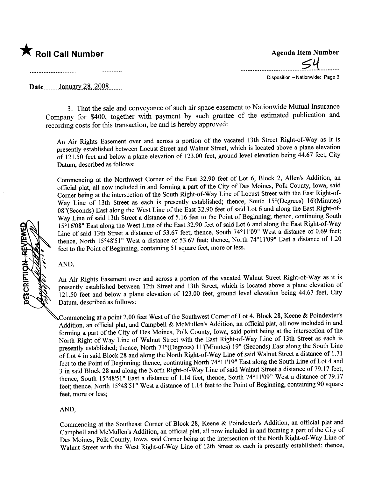

..................................................................:\................... 5-J1 Disposition - Nationwide: Page 3

Date January 28, 2008

3. That the sale and conveyance of such air space easement to Nationwide Mutual Insurance Company for \$400, together with payment by such grantee of the estimated publication and recording costs for this transaction, be and is hereby approved:

An Air Rights Easement over and across a portion of the vacated 13th Street Right-of-Way as it is presently established between Locust Street and Walnut Street, which is located above a plane elevation of 121.50 feet and below a plane elevation of 123.00 feet, ground level elevation being 44.67 feet, City Datum, described as follows:

Commencing at the Northwest Comer of the East 32.90 feet of Lot 6, Block 2, Allen's Addition, an official plat, all now included in and forming a part of the City of Des Moines, Polk County, Iowa, said Comer being at the intersection of the South Right-of-Way Line of Locust Street with the East Right-of-Way Line of 13th Street as each is presently established; thence, South 15°(Degrees) 16'(Minutes) 08"(Seconds) East along the West Line of the East 32.90 feet of said Lot 6 and along the East Right-of-Way Line of said 13th Street a distance of 5.16 feet to the Point of Beginning; thence, continuing South 15°16'08" East along the West Line of the East 32.90 feet of said Lot 6 and along the East Right-of-Way Line of said 13th Street a distance of 53.67 feet; thence, South 74°11'09" West a distance of 0.69 feet; thence, North 15°48'51" West a distance of 53.67 feet; thence, North 74°11'09" East a distance of 1.20 feet to the Point of Beginning, containing 51 square feet, more or less.

AND,

An Air Rights Easement over and across a portion of the vacated Walnut Street Right-of-Way as it is presently established between 12th Street and 13th Street, which is located above a plane elevation of 121.50 feet and below a plane elevation of 123.00 feet, ground level elevation being 44.67 feet, City Datum, described as follows:

Commencing at a point 2.00 feet West of the Southwest Comer of Lot 4, Block 28, Keene & Poindexter's Addition, an official plat, and Campbell & McMullen's Addition, an official plat, all now included in and forming a part of the City of Des Moines, Polk County, Iowa, said point being at the intersection of the North Right-of-Way Line of Walnut Street with the East Right-of-Way Line of 13th Street as each is presently established; thence, North 74°(Degrees) 11'(Minutes) 19" (Seconds) East along the South Line of Lot 4 in said Block 28 and along the North Right-of-Way Line of said Walnut Street a distance of 1.71 feet to the Point of Beginning; thence, continuing North 74°11'19" East along the South Line of Lot 4 and 3 in said Block 28 and along the North Right-of- Way Line of said Walnut Street a distance of 79.17 feet; thence, South 15°48'51" East a distance of 1.14 feet; thence, South 74°11'09" West a distance of 79.17 feet; thence, North 15°48'51" West a distance of 1.14 feet to the Point of Beginning, containing 90 square feet, more or less;

AND,

Commencing at the Southeast Corner of Block 28, Keene & Poindexter's Addition, an official plat and Campbell and McMullen's Addition, an official plat, all now included in and forming a part of the City of Des Moines, Polk County, Iowa, said Comer being at the intersection of the North Right-of-Way Line of Walnut Street with the West Right-of-Way Line of 12th Street as each is presently established; thence,

**DESCRIPTION**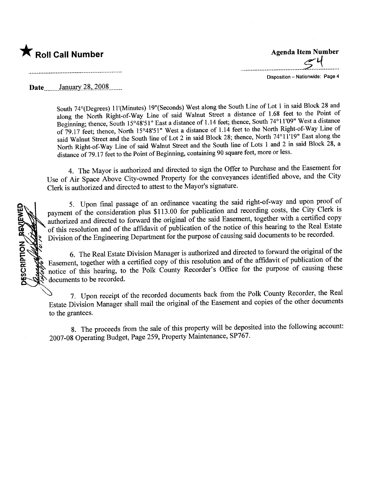

..\_...\_\_.\_----\_..\_-\_.\_---\_..\_\_....\_-~.~--\_.\_..\_--

Disposition - Nationwide: Page 4

Date January 28, 2008

................................................................................................

South 74°(Degrees) 11'(Minutes) 19"(Seconds) West along the South Line of Lot 1 in said Block 28 and along the North Right-of-Way Line of said Walnut Street a distance of 1.68 feet to the Point of Beginning; thence, South 15°48'51" East a distance of 1.14 feet; thence, South 74°11'09" West a distance of 79.17 feet; thence, North 15°48'51" West a distance of 1.14 feet to the North Right-of-Way Line of said Walnut Street and the South line of Lot 2 in said Block 28; thence, North 74°11'19" East along the North Right-of-Way Line of said Walnut Street and the South line of Lots 1 and 2 in said Block 28, a distance of 79.17 feet to the Point of Beginning, containing 90 square feet, more or less.

4. The Mayor is authorized and directed to sign the Offer to Purchase and the Easement for Use of Air Space Above City-owned Property for the conveyances identified above, and the City Clerk is authorized and directed to attest to the Mayor's signatue.

5. Upon final passage of an ordinance vacating the said right-of-way and upon proof of payment of the consideration plus \$113.00 for publication and recording costs, the City Clerk is authorized and directed to forward the original of the said Easement, together with a certified copy of this resolution and of the affdavit of publication of the notice of this hearing to the Real Estate Division of the Engineering Deparment for the purose of causing said documents to be recorded.

6. The Real Estate Division Manager is authorized and directed to forward the original of the Easement, together with a certified copy of this resolution and of the affidavit of publication of the notice of this hearing, to the Polk County Recorder's Office for the purpose of causing these documents to be recorded.

7. Upon receipt of the recorded documents back from the Polk County Recorder, the Real Estate Division Manager shall mail the original of the Easement and copies of the other documents to the grantees.

8. The proceeds from the sale of this property will be deposited into the following account: 2007-08 Operating Budget, Page 259, Property Maintenance, SP767.

DESCRIPTION REVEWED -"